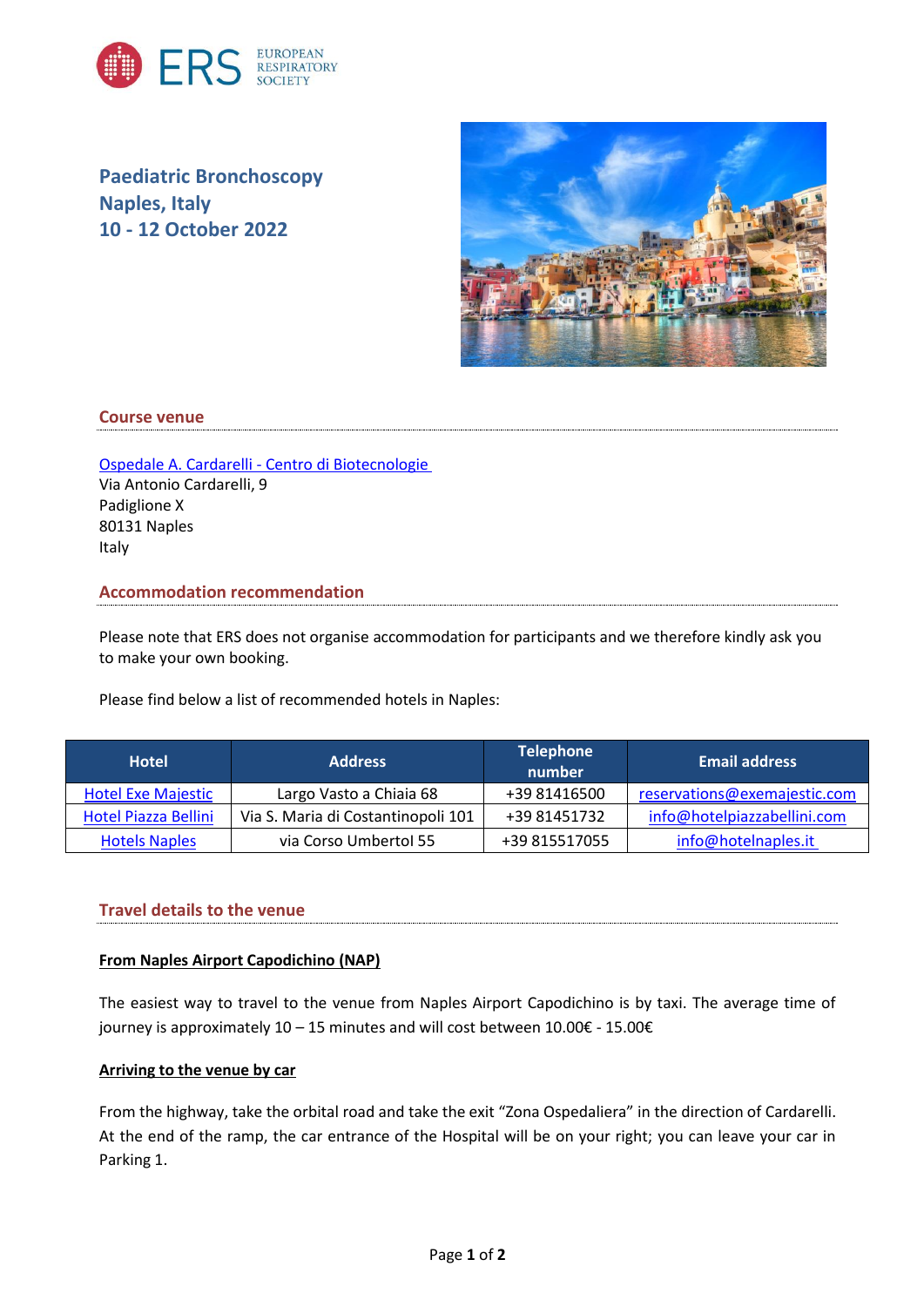

**Paediatric Bronchoscopy Naples, Italy 10 - 12 October 2022**



## **Course venue**

[Ospedale A. Cardarelli -](http://www.centrodibiotecnologie.org/en/) Centro di Biotecnologie Via Antonio Cardarelli, 9 Padiglione X 80131 Naples Italy

## **Accommodation recommendation**

Please note that ERS does not organise accommodation for participants and we therefore kindly ask you to make your own booking.

Please find below a list of recommended hotels in Naples:

| <b>Hotel</b>                | <b>Address</b>                     | <b>Telephone</b><br>number | <b>Email address</b>         |
|-----------------------------|------------------------------------|----------------------------|------------------------------|
| <b>Hotel Exe Majestic</b>   | Largo Vasto a Chiaia 68            | +39 81416500               | reservations@exemajestic.com |
| <b>Hotel Piazza Bellini</b> | Via S. Maria di Costantinopoli 101 | +39 81451732               | info@hotelpiazzabellini.com  |
| <b>Hotels Naples</b>        | via Corso Umbertol 55              | +39 815517055              | info@hoteInaples.it          |

## **Travel details to the venue**

#### **From Naples Airport Capodichino (NAP)**

The easiest way to travel to the venue from Naples Airport Capodichino is by taxi. The average time of journey is approximately 10 – 15 minutes and will cost between 10.00€ - 15.00€

### **Arriving to the venue by car**

From the highway, take the orbital road and take the exit "Zona Ospedaliera" in the direction of Cardarelli. At the end of the ramp, the car entrance of the Hospital will be on your right; you can leave your car in Parking 1.